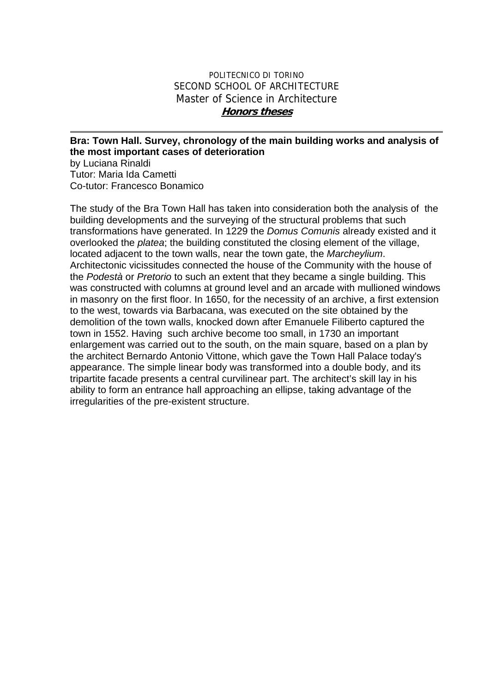## POLITECNICO DI TORINO SECOND SCHOOL OF ARCHITECTURE Master of Science in Architecture **Honors theses**

## **Bra: Town Hall. Survey, chronology of the main building works and analysis of the most important cases of deterioration**

by Luciana Rinaldi Tutor: Maria Ida Cametti Co-tutor: Francesco Bonamico

The study of the Bra Town Hall has taken into consideration both the analysis of the building developments and the surveying of the structural problems that such transformations have generated. In 1229 the *Domus Comunis* already existed and it overlooked the *platea*; the building constituted the closing element of the village, located adjacent to the town walls, near the town gate, the *Marcheylium*. Architectonic vicissitudes connected the house of the Community with the house of the *Podestà* or *Pretorio* to such an extent that they became a single building. This was constructed with columns at ground level and an arcade with mullioned windows in masonry on the first floor. In 1650, for the necessity of an archive, a first extension to the west, towards via Barbacana, was executed on the site obtained by the demolition of the town walls, knocked down after Emanuele Filiberto captured the town in 1552. Having such archive become too small, in 1730 an important enlargement was carried out to the south, on the main square, based on a plan by the architect Bernardo Antonio Vittone, which gave the Town Hall Palace today's appearance. The simple linear body was transformed into a double body, and its tripartite facade presents a central curvilinear part. The architect's skill lay in his ability to form an entrance hall approaching an ellipse, taking advantage of the irregularities of the pre-existent structure.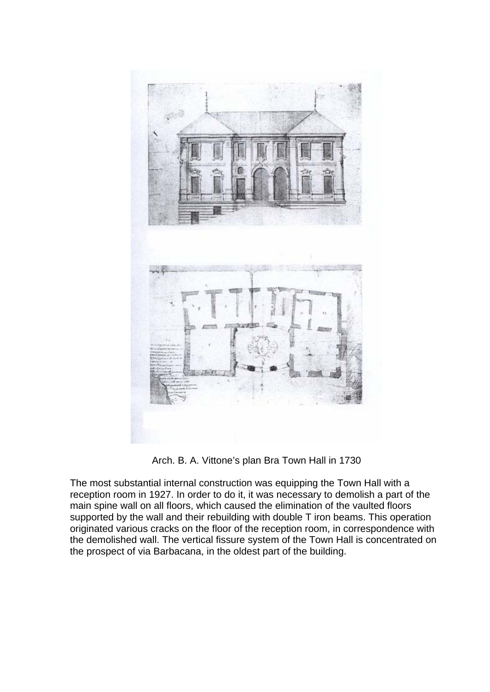

Arch. B. A. Vittone's plan Bra Town Hall in 1730

The most substantial internal construction was equipping the Town Hall with a reception room in 1927. In order to do it, it was necessary to demolish a part of the main spine wall on all floors, which caused the elimination of the vaulted floors supported by the wall and their rebuilding with double T iron beams. This operation originated various cracks on the floor of the reception room, in correspondence with the demolished wall. The vertical fissure system of the Town Hall is concentrated on the prospect of via Barbacana, in the oldest part of the building.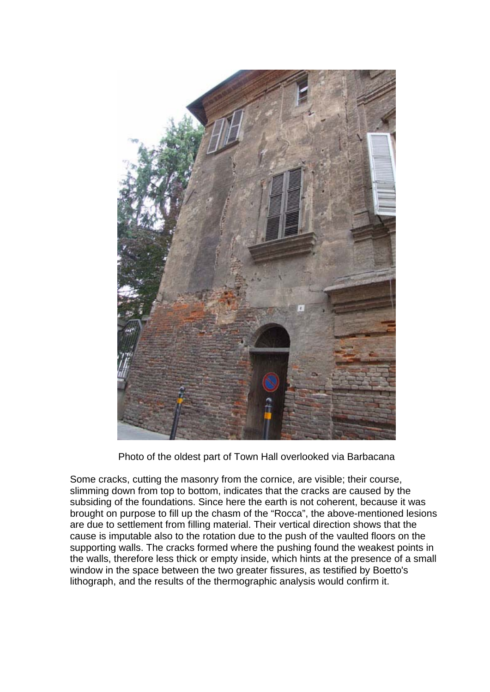

Photo of the oldest part of Town Hall overlooked via Barbacana

Some cracks, cutting the masonry from the cornice, are visible; their course, slimming down from top to bottom, indicates that the cracks are caused by the subsiding of the foundations. Since here the earth is not coherent, because it was brought on purpose to fill up the chasm of the "Rocca", the above-mentioned lesions are due to settlement from filling material. Their vertical direction shows that the cause is imputable also to the rotation due to the push of the vaulted floors on the supporting walls. The cracks formed where the pushing found the weakest points in the walls, therefore less thick or empty inside, which hints at the presence of a small window in the space between the two greater fissures, as testified by Boetto's lithograph, and the results of the thermographic analysis would confirm it.